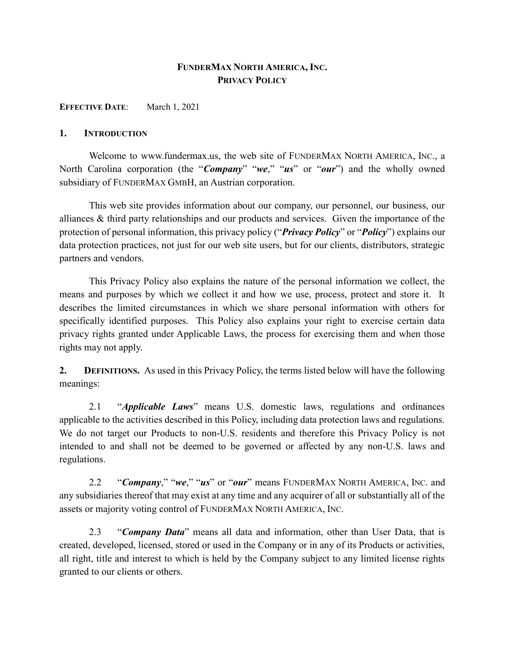# FUNDERMAX NORTH AMERICA, INC. PRIVACY POLICY

EFFECTIVE DATE: March 1, 2021

#### 1. INTRODUCTION

Welcome to www.fundermax.us, the web site of FUNDERMAX NORTH AMERICA, INC., a North Carolina corporation (the "Company" "we," "us" or "our") and the wholly owned subsidiary of FUNDERMAX GMBH, an Austrian corporation.

This web site provides information about our company, our personnel, our business, our alliances & third party relationships and our products and services. Given the importance of the protection of personal information, this privacy policy ("*Privacy Policy*" or "*Policy*") explains our data protection practices, not just for our web site users, but for our clients, distributors, strategic partners and vendors.

This Privacy Policy also explains the nature of the personal information we collect, the means and purposes by which we collect it and how we use, process, protect and store it. It describes the limited circumstances in which we share personal information with others for specifically identified purposes. This Policy also explains your right to exercise certain data privacy rights granted under Applicable Laws, the process for exercising them and when those rights may not apply.

2. DEFINITIONS. As used in this Privacy Policy, the terms listed below will have the following meanings:

2.1 "Applicable Laws" means U.S. domestic laws, regulations and ordinances applicable to the activities described in this Policy, including data protection laws and regulations. We do not target our Products to non-U.S. residents and therefore this Privacy Policy is not intended to and shall not be deemed to be governed or affected by any non-U.S. laws and regulations.

2.2 "Company," "we," "us" or "our" means FUNDERMAX NORTH AMERICA, INC. and any subsidiaries thereof that may exist at any time and any acquirer of all or substantially all of the assets or majority voting control of FUNDERMAX NORTH AMERICA, INC.

2.3 "Company Data" means all data and information, other than User Data, that is created, developed, licensed, stored or used in the Company or in any of its Products or activities, all right, title and interest to which is held by the Company subject to any limited license rights granted to our clients or others.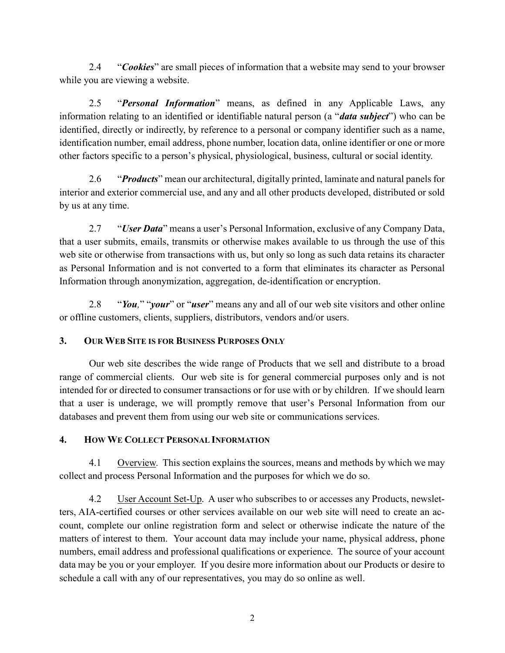2.4 "Cookies" are small pieces of information that a website may send to your browser while you are viewing a website.

2.5 "Personal Information" means, as defined in any Applicable Laws, any information relating to an identified or identifiable natural person (a "*data subject*") who can be identified, directly or indirectly, by reference to a personal or company identifier such as a name, identification number, email address, phone number, location data, online identifier or one or more other factors specific to a person's physical, physiological, business, cultural or social identity.

2.6 "Products" mean our architectural, digitally printed, laminate and natural panels for interior and exterior commercial use, and any and all other products developed, distributed or sold by us at any time.

2.7 "*User Data*" means a user's Personal Information, exclusive of any Company Data, that a user submits, emails, transmits or otherwise makes available to us through the use of this web site or otherwise from transactions with us, but only so long as such data retains its character as Personal Information and is not converted to a form that eliminates its character as Personal Information through anonymization, aggregation, de-identification or encryption.

2.8 "You," "your" or "user" means any and all of our web site visitors and other online or offline customers, clients, suppliers, distributors, vendors and/or users.

## 3. OUR WEB SITE IS FOR BUSINESS PURPOSES ONLY

Our web site describes the wide range of Products that we sell and distribute to a broad range of commercial clients. Our web site is for general commercial purposes only and is not intended for or directed to consumer transactions or for use with or by children. If we should learn that a user is underage, we will promptly remove that user's Personal Information from our databases and prevent them from using our web site or communications services.

## 4. HOW WE COLLECT PERSONAL INFORMATION

4.1 Overview. This section explains the sources, means and methods by which we may collect and process Personal Information and the purposes for which we do so.

4.2 User Account Set-Up. A user who subscribes to or accesses any Products, newsletters, AIA-certified courses or other services available on our web site will need to create an account, complete our online registration form and select or otherwise indicate the nature of the matters of interest to them. Your account data may include your name, physical address, phone numbers, email address and professional qualifications or experience. The source of your account data may be you or your employer. If you desire more information about our Products or desire to schedule a call with any of our representatives, you may do so online as well.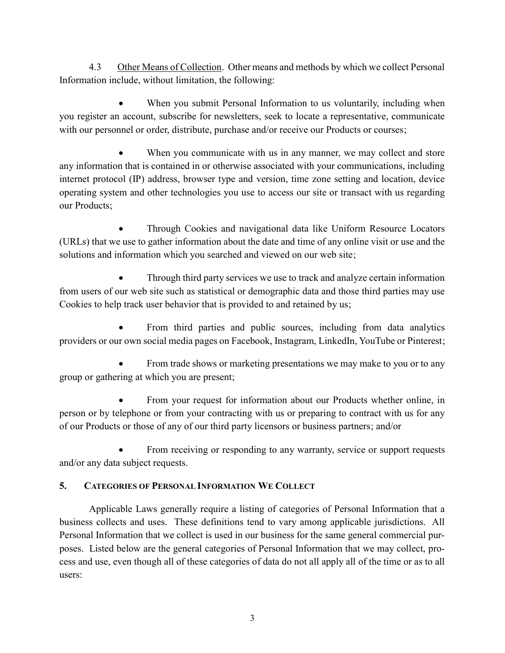4.3 Other Means of Collection. Other means and methods by which we collect Personal Information include, without limitation, the following:

 When you submit Personal Information to us voluntarily, including when you register an account, subscribe for newsletters, seek to locate a representative, communicate with our personnel or order, distribute, purchase and/or receive our Products or courses;

 When you communicate with us in any manner, we may collect and store any information that is contained in or otherwise associated with your communications, including internet protocol (IP) address, browser type and version, time zone setting and location, device operating system and other technologies you use to access our site or transact with us regarding our Products;

 Through Cookies and navigational data like Uniform Resource Locators (URLs) that we use to gather information about the date and time of any online visit or use and the solutions and information which you searched and viewed on our web site;

 Through third party services we use to track and analyze certain information from users of our web site such as statistical or demographic data and those third parties may use Cookies to help track user behavior that is provided to and retained by us;

 From third parties and public sources, including from data analytics providers or our own social media pages on Facebook, Instagram, LinkedIn, YouTube or Pinterest;

 From trade shows or marketing presentations we may make to you or to any group or gathering at which you are present;

 From your request for information about our Products whether online, in person or by telephone or from your contracting with us or preparing to contract with us for any of our Products or those of any of our third party licensors or business partners; and/or

 From receiving or responding to any warranty, service or support requests and/or any data subject requests.

## 5. CATEGORIES OF PERSONAL INFORMATION WE COLLECT

Applicable Laws generally require a listing of categories of Personal Information that a business collects and uses. These definitions tend to vary among applicable jurisdictions. All Personal Information that we collect is used in our business for the same general commercial purposes. Listed below are the general categories of Personal Information that we may collect, process and use, even though all of these categories of data do not all apply all of the time or as to all users: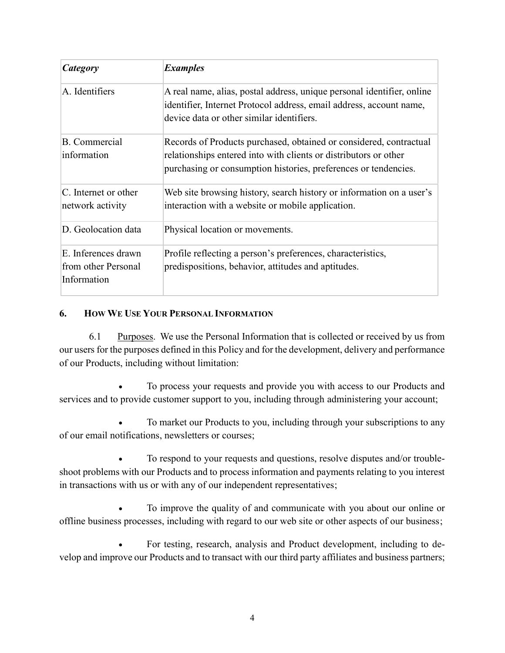| Category                                                  | <b>Examples</b>                                                                                                                                                                                           |
|-----------------------------------------------------------|-----------------------------------------------------------------------------------------------------------------------------------------------------------------------------------------------------------|
| A. Identifiers                                            | A real name, alias, postal address, unique personal identifier, online<br>identifier, Internet Protocol address, email address, account name,<br>device data or other similar identifiers.                |
| <b>B.</b> Commercial<br>information                       | Records of Products purchased, obtained or considered, contractual<br>relationships entered into with clients or distributors or other<br>purchasing or consumption histories, preferences or tendencies. |
| C. Internet or other<br>network activity                  | Web site browsing history, search history or information on a user's<br>interaction with a website or mobile application.                                                                                 |
| D. Geolocation data                                       | Physical location or movements.                                                                                                                                                                           |
| E. Inferences drawn<br>from other Personal<br>Information | Profile reflecting a person's preferences, characteristics,<br>predispositions, behavior, attitudes and aptitudes.                                                                                        |

# 6. HOW WE USE YOUR PERSONAL INFORMATION

6.1 Purposes. We use the Personal Information that is collected or received by us from our users for the purposes defined in this Policy and for the development, delivery and performance of our Products, including without limitation:

 To process your requests and provide you with access to our Products and services and to provide customer support to you, including through administering your account;

 To market our Products to you, including through your subscriptions to any of our email notifications, newsletters or courses;

 To respond to your requests and questions, resolve disputes and/or troubleshoot problems with our Products and to process information and payments relating to you interest in transactions with us or with any of our independent representatives;

 To improve the quality of and communicate with you about our online or offline business processes, including with regard to our web site or other aspects of our business;

 For testing, research, analysis and Product development, including to develop and improve our Products and to transact with our third party affiliates and business partners;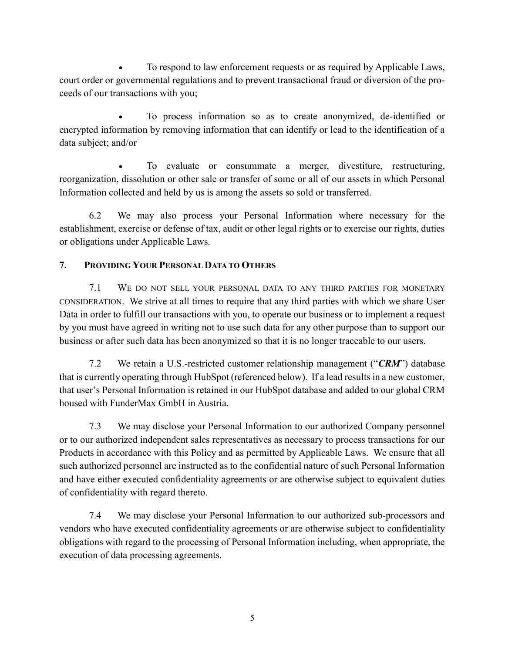To respond to law enforcement requests or as required by Applicable Laws, court order or governmental regulations and to prevent transactional fraud or diversion of the proceeds of our transactions with you;

 To process information so as to create anonymized, de-identified or encrypted information by removing information that can identify or lead to the identification of a data subject; and/or

 To evaluate or consummate a merger, divestiture, restructuring, reorganization, dissolution or other sale or transfer of some or all of our assets in which Personal Information collected and held by us is among the assets so sold or transferred.

6.2 We may also process your Personal Information where necessary for the establishment, exercise or defense of tax, audit or other legal rights or to exercise our rights, duties or obligations under Applicable Laws.

# 7. PROVIDING YOUR PERSONAL DATA TO OTHERS

7.1 WE DO NOT SELL YOUR PERSONAL DATA TO ANY THIRD PARTIES FOR MONETARY CONSIDERATION. We strive at all times to require that any third parties with which we share User Data in order to fulfill our transactions with you, to operate our business or to implement a request by you must have agreed in writing not to use such data for any other purpose than to support our business or after such data has been anonymized so that it is no longer traceable to our users.

7.2 We retain a U.S.-restricted customer relationship management (" $CRM$ ") database that is currently operating through HubSpot (referenced below). If a lead results in a new customer, that user's Personal Information is retained in our HubSpot database and added to our global CRM housed with FunderMax GmbH in Austria.

7.3 We may disclose your Personal Information to our authorized Company personnel or to our authorized independent sales representatives as necessary to process transactions for our Products in accordance with this Policy and as permitted by Applicable Laws. We ensure that all such authorized personnel are instructed as to the confidential nature of such Personal Information and have either executed confidentiality agreements or are otherwise subject to equivalent duties of confidentiality with regard thereto.

7.4 We may disclose your Personal Information to our authorized sub-processors and vendors who have executed confidentiality agreements or are otherwise subject to confidentiality obligations with regard to the processing of Personal Information including, when appropriate, the execution of data processing agreements.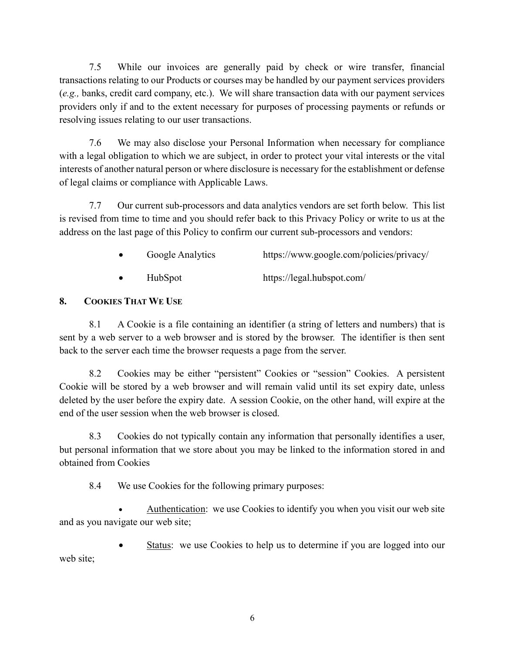7.5 While our invoices are generally paid by check or wire transfer, financial transactions relating to our Products or courses may be handled by our payment services providers (e.g., banks, credit card company, etc.). We will share transaction data with our payment services providers only if and to the extent necessary for purposes of processing payments or refunds or resolving issues relating to our user transactions.

7.6 We may also disclose your Personal Information when necessary for compliance with a legal obligation to which we are subject, in order to protect your vital interests or the vital interests of another natural person or where disclosure is necessary for the establishment or defense of legal claims or compliance with Applicable Laws.

7.7 Our current sub-processors and data analytics vendors are set forth below. This list is revised from time to time and you should refer back to this Privacy Policy or write to us at the address on the last page of this Policy to confirm our current sub-processors and vendors:

- Google Analytics https://www.google.com/policies/privacy/
- HubSpot https://legal.hubspot.com/

## 8. COOKIES THAT WE USE

8.1 A Cookie is a file containing an identifier (a string of letters and numbers) that is sent by a web server to a web browser and is stored by the browser. The identifier is then sent back to the server each time the browser requests a page from the server.

8.2 Cookies may be either "persistent" Cookies or "session" Cookies. A persistent Cookie will be stored by a web browser and will remain valid until its set expiry date, unless deleted by the user before the expiry date. A session Cookie, on the other hand, will expire at the end of the user session when the web browser is closed.

8.3 Cookies do not typically contain any information that personally identifies a user, but personal information that we store about you may be linked to the information stored in and obtained from Cookies

8.4 We use Cookies for the following primary purposes:

 Authentication: we use Cookies to identify you when you visit our web site and as you navigate our web site;

 Status: we use Cookies to help us to determine if you are logged into our web site;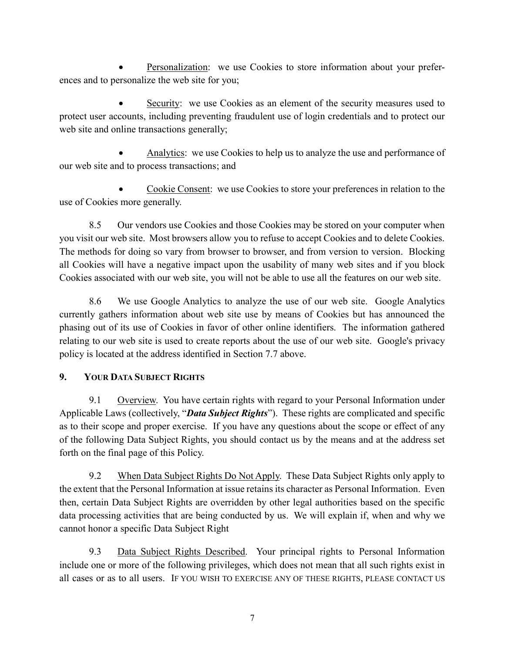Personalization: we use Cookies to store information about your preferences and to personalize the web site for you;

 Security: we use Cookies as an element of the security measures used to protect user accounts, including preventing fraudulent use of login credentials and to protect our web site and online transactions generally;

 Analytics: we use Cookies to help us to analyze the use and performance of our web site and to process transactions; and

 Cookie Consent: we use Cookies to store your preferences in relation to the use of Cookies more generally.

8.5 Our vendors use Cookies and those Cookies may be stored on your computer when you visit our web site. Most browsers allow you to refuse to accept Cookies and to delete Cookies. The methods for doing so vary from browser to browser, and from version to version. Blocking all Cookies will have a negative impact upon the usability of many web sites and if you block Cookies associated with our web site, you will not be able to use all the features on our web site.

8.6 We use Google Analytics to analyze the use of our web site. Google Analytics currently gathers information about web site use by means of Cookies but has announced the phasing out of its use of Cookies in favor of other online identifiers. The information gathered relating to our web site is used to create reports about the use of our web site. Google's privacy policy is located at the address identified in Section 7.7 above.

# 9. YOUR DATA SUBJECT RIGHTS

9.1 Overview. You have certain rights with regard to your Personal Information under Applicable Laws (collectively, "**Data Subject Rights**"). These rights are complicated and specific as to their scope and proper exercise. If you have any questions about the scope or effect of any of the following Data Subject Rights, you should contact us by the means and at the address set forth on the final page of this Policy.

9.2 When Data Subject Rights Do Not Apply. These Data Subject Rights only apply to the extent that the Personal Information at issue retains its character as Personal Information. Even then, certain Data Subject Rights are overridden by other legal authorities based on the specific data processing activities that are being conducted by us. We will explain if, when and why we cannot honor a specific Data Subject Right

9.3 Data Subject Rights Described. Your principal rights to Personal Information include one or more of the following privileges, which does not mean that all such rights exist in all cases or as to all users. IF YOU WISH TO EXERCISE ANY OF THESE RIGHTS, PLEASE CONTACT US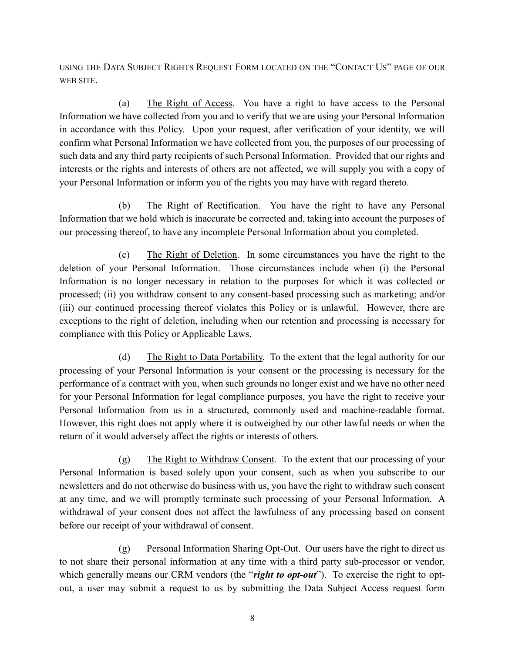USING THE DATA SUBJECT RIGHTS REQUEST FORM LOCATED ON THE "CONTACT US" PAGE OF OUR WEB SITE.

(a) The Right of Access. You have a right to have access to the Personal Information we have collected from you and to verify that we are using your Personal Information in accordance with this Policy. Upon your request, after verification of your identity, we will confirm what Personal Information we have collected from you, the purposes of our processing of such data and any third party recipients of such Personal Information. Provided that our rights and interests or the rights and interests of others are not affected, we will supply you with a copy of your Personal Information or inform you of the rights you may have with regard thereto.

(b) The Right of Rectification. You have the right to have any Personal Information that we hold which is inaccurate be corrected and, taking into account the purposes of our processing thereof, to have any incomplete Personal Information about you completed.

(c) The Right of Deletion. In some circumstances you have the right to the deletion of your Personal Information. Those circumstances include when (i) the Personal Information is no longer necessary in relation to the purposes for which it was collected or processed; (ii) you withdraw consent to any consent-based processing such as marketing; and/or (iii) our continued processing thereof violates this Policy or is unlawful. However, there are exceptions to the right of deletion, including when our retention and processing is necessary for compliance with this Policy or Applicable Laws.

(d) The Right to Data Portability. To the extent that the legal authority for our processing of your Personal Information is your consent or the processing is necessary for the performance of a contract with you, when such grounds no longer exist and we have no other need for your Personal Information for legal compliance purposes, you have the right to receive your Personal Information from us in a structured, commonly used and machine-readable format. However, this right does not apply where it is outweighed by our other lawful needs or when the return of it would adversely affect the rights or interests of others.

(g) The Right to Withdraw Consent. To the extent that our processing of your Personal Information is based solely upon your consent, such as when you subscribe to our newsletters and do not otherwise do business with us, you have the right to withdraw such consent at any time, and we will promptly terminate such processing of your Personal Information. A withdrawal of your consent does not affect the lawfulness of any processing based on consent before our receipt of your withdrawal of consent.

(g) Personal Information Sharing Opt-Out. Our users have the right to direct us to not share their personal information at any time with a third party sub-processor or vendor, which generally means our CRM vendors (the "right to opt-out"). To exercise the right to optout, a user may submit a request to us by submitting the Data Subject Access request form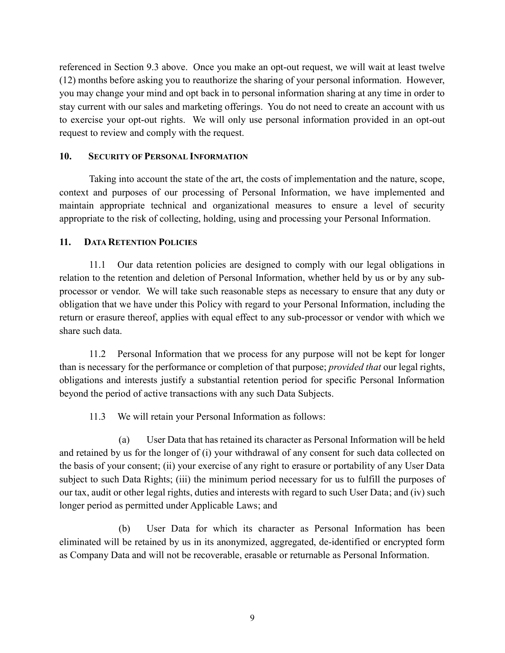referenced in Section 9.3 above. Once you make an opt-out request, we will wait at least twelve (12) months before asking you to reauthorize the sharing of your personal information. However, you may change your mind and opt back in to personal information sharing at any time in order to stay current with our sales and marketing offerings. You do not need to create an account with us to exercise your opt-out rights. We will only use personal information provided in an opt-out request to review and comply with the request.

#### 10. SECURITY OF PERSONAL INFORMATION

Taking into account the state of the art, the costs of implementation and the nature, scope, context and purposes of our processing of Personal Information, we have implemented and maintain appropriate technical and organizational measures to ensure a level of security appropriate to the risk of collecting, holding, using and processing your Personal Information.

#### 11. DATA RETENTION POLICIES

11.1 Our data retention policies are designed to comply with our legal obligations in relation to the retention and deletion of Personal Information, whether held by us or by any subprocessor or vendor. We will take such reasonable steps as necessary to ensure that any duty or obligation that we have under this Policy with regard to your Personal Information, including the return or erasure thereof, applies with equal effect to any sub-processor or vendor with which we share such data.

11.2 Personal Information that we process for any purpose will not be kept for longer than is necessary for the performance or completion of that purpose; *provided that* our legal rights, obligations and interests justify a substantial retention period for specific Personal Information beyond the period of active transactions with any such Data Subjects.

11.3 We will retain your Personal Information as follows:

(a) User Data that has retained its character as Personal Information will be held and retained by us for the longer of (i) your withdrawal of any consent for such data collected on the basis of your consent; (ii) your exercise of any right to erasure or portability of any User Data subject to such Data Rights; (iii) the minimum period necessary for us to fulfill the purposes of our tax, audit or other legal rights, duties and interests with regard to such User Data; and (iv) such longer period as permitted under Applicable Laws; and

(b) User Data for which its character as Personal Information has been eliminated will be retained by us in its anonymized, aggregated, de-identified or encrypted form as Company Data and will not be recoverable, erasable or returnable as Personal Information.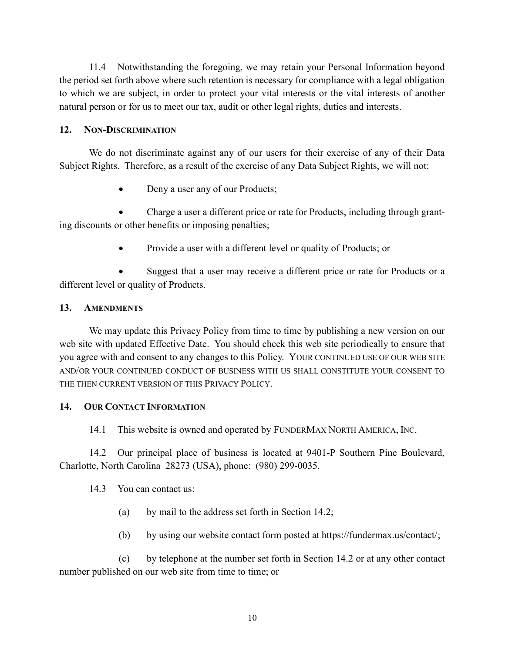11.4 Notwithstanding the foregoing, we may retain your Personal Information beyond the period set forth above where such retention is necessary for compliance with a legal obligation to which we are subject, in order to protect your vital interests or the vital interests of another natural person or for us to meet our tax, audit or other legal rights, duties and interests.

### 12. NON-DISCRIMINATION

We do not discriminate against any of our users for their exercise of any of their Data Subject Rights. Therefore, as a result of the exercise of any Data Subject Rights, we will not:

Deny a user any of our Products;

 Charge a user a different price or rate for Products, including through granting discounts or other benefits or imposing penalties;

Provide a user with a different level or quality of Products; or

 Suggest that a user may receive a different price or rate for Products or a different level or quality of Products.

### 13. AMENDMENTS

We may update this Privacy Policy from time to time by publishing a new version on our web site with updated Effective Date. You should check this web site periodically to ensure that you agree with and consent to any changes to this Policy. YOUR CONTINUED USE OF OUR WEB SITE AND/OR YOUR CONTINUED CONDUCT OF BUSINESS WITH US SHALL CONSTITUTE YOUR CONSENT TO THE THEN CURRENT VERSION OF THIS PRIVACY POLICY.

### 14. OUR CONTACT INFORMATION

14.1 This website is owned and operated by FUNDERMAX NORTH AMERICA, INC.

14.2 Our principal place of business is located at 9401-P Southern Pine Boulevard, Charlotte, North Carolina 28273 (USA), phone: (980) 299-0035.

### 14.3 You can contact us:

- (a) by mail to the address set forth in Section 14.2;
- (b) by using our website contact form posted at https://fundermax.us/contact/;

(c) by telephone at the number set forth in Section 14.2 or at any other contact number published on our web site from time to time; or